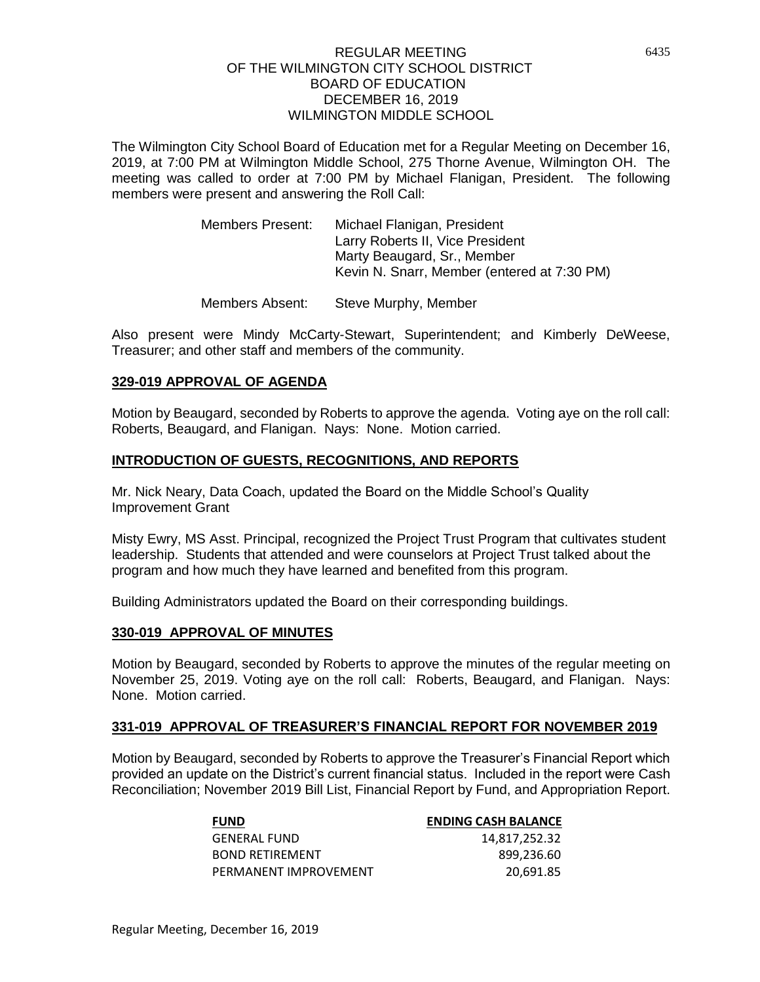The Wilmington City School Board of Education met for a Regular Meeting on December 16, 2019, at 7:00 PM at Wilmington Middle School, 275 Thorne Avenue, Wilmington OH. The meeting was called to order at 7:00 PM by Michael Flanigan, President. The following members were present and answering the Roll Call:

| Members Present: | Michael Flanigan, President                 |
|------------------|---------------------------------------------|
|                  | Larry Roberts II, Vice President            |
|                  | Marty Beaugard, Sr., Member                 |
|                  | Kevin N. Snarr, Member (entered at 7:30 PM) |
|                  |                                             |

Members Absent: Steve Murphy, Member

Also present were Mindy McCarty-Stewart, Superintendent; and Kimberly DeWeese, Treasurer; and other staff and members of the community.

### **329-019 APPROVAL OF AGENDA**

Motion by Beaugard, seconded by Roberts to approve the agenda. Voting aye on the roll call: Roberts, Beaugard, and Flanigan. Nays: None. Motion carried.

### **INTRODUCTION OF GUESTS, RECOGNITIONS, AND REPORTS**

Mr. Nick Neary, Data Coach, updated the Board on the Middle School's Quality Improvement Grant

Misty Ewry, MS Asst. Principal, recognized the Project Trust Program that cultivates student leadership. Students that attended and were counselors at Project Trust talked about the program and how much they have learned and benefited from this program.

Building Administrators updated the Board on their corresponding buildings.

### **330-019 APPROVAL OF MINUTES**

Motion by Beaugard, seconded by Roberts to approve the minutes of the regular meeting on November 25, 2019. Voting aye on the roll call: Roberts, Beaugard, and Flanigan. Nays: None. Motion carried.

### **331-019 APPROVAL OF TREASURER'S FINANCIAL REPORT FOR NOVEMBER 2019**

Motion by Beaugard, seconded by Roberts to approve the Treasurer's Financial Report which provided an update on the District's current financial status. Included in the report were Cash Reconciliation; November 2019 Bill List, Financial Report by Fund, and Appropriation Report.

| <b>FUND</b>            | <b>ENDING CASH BALANCE</b> |
|------------------------|----------------------------|
| <b>GENERAL FUND</b>    | 14,817,252.32              |
| <b>BOND RETIREMENT</b> | 899.236.60                 |
| PERMANENT IMPROVEMENT  | 20.691.85                  |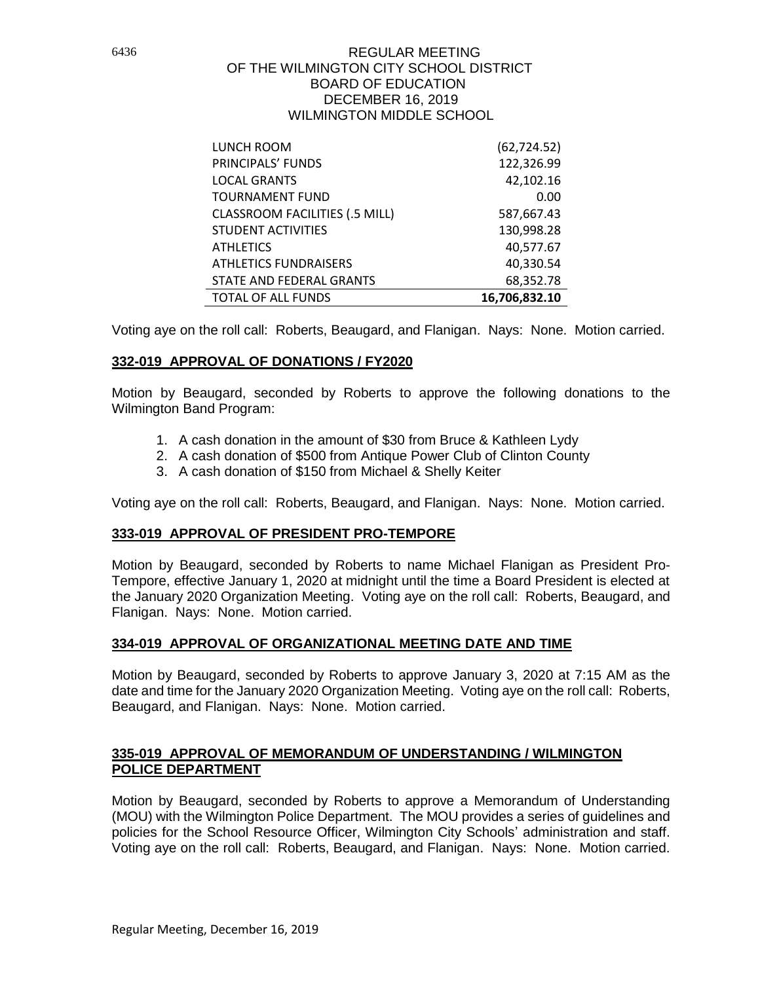| LUNCH ROOM                            | (62, 724.52)  |
|---------------------------------------|---------------|
| PRINCIPALS' FUNDS                     | 122,326.99    |
| <b>LOCAL GRANTS</b>                   | 42,102.16     |
| <b>TOURNAMENT FUND</b>                | 0.00          |
| <b>CLASSROOM FACILITIES (.5 MILL)</b> | 587,667.43    |
| <b>STUDENT ACTIVITIES</b>             | 130,998.28    |
| <b>ATHLETICS</b>                      | 40,577.67     |
| <b>ATHLETICS FUNDRAISERS</b>          | 40,330.54     |
| STATE AND FEDERAL GRANTS              | 68,352.78     |
| <b>TOTAL OF ALL FUNDS</b>             | 16,706,832.10 |

Voting aye on the roll call: Roberts, Beaugard, and Flanigan. Nays: None. Motion carried.

# **332-019 APPROVAL OF DONATIONS / FY2020**

Motion by Beaugard, seconded by Roberts to approve the following donations to the Wilmington Band Program:

- 1. A cash donation in the amount of \$30 from Bruce & Kathleen Lydy
- 2. A cash donation of \$500 from Antique Power Club of Clinton County
- 3. A cash donation of \$150 from Michael & Shelly Keiter

Voting aye on the roll call: Roberts, Beaugard, and Flanigan. Nays: None. Motion carried.

# **333-019 APPROVAL OF PRESIDENT PRO-TEMPORE**

Motion by Beaugard, seconded by Roberts to name Michael Flanigan as President Pro-Tempore, effective January 1, 2020 at midnight until the time a Board President is elected at the January 2020 Organization Meeting. Voting aye on the roll call: Roberts, Beaugard, and Flanigan. Nays: None. Motion carried.

# **334-019 APPROVAL OF ORGANIZATIONAL MEETING DATE AND TIME**

Motion by Beaugard, seconded by Roberts to approve January 3, 2020 at 7:15 AM as the date and time for the January 2020 Organization Meeting. Voting aye on the roll call: Roberts, Beaugard, and Flanigan. Nays: None. Motion carried.

### **335-019 APPROVAL OF MEMORANDUM OF UNDERSTANDING / WILMINGTON POLICE DEPARTMENT**

Motion by Beaugard, seconded by Roberts to approve a Memorandum of Understanding (MOU) with the Wilmington Police Department. The MOU provides a series of guidelines and policies for the School Resource Officer, Wilmington City Schools' administration and staff. Voting aye on the roll call: Roberts, Beaugard, and Flanigan. Nays: None. Motion carried.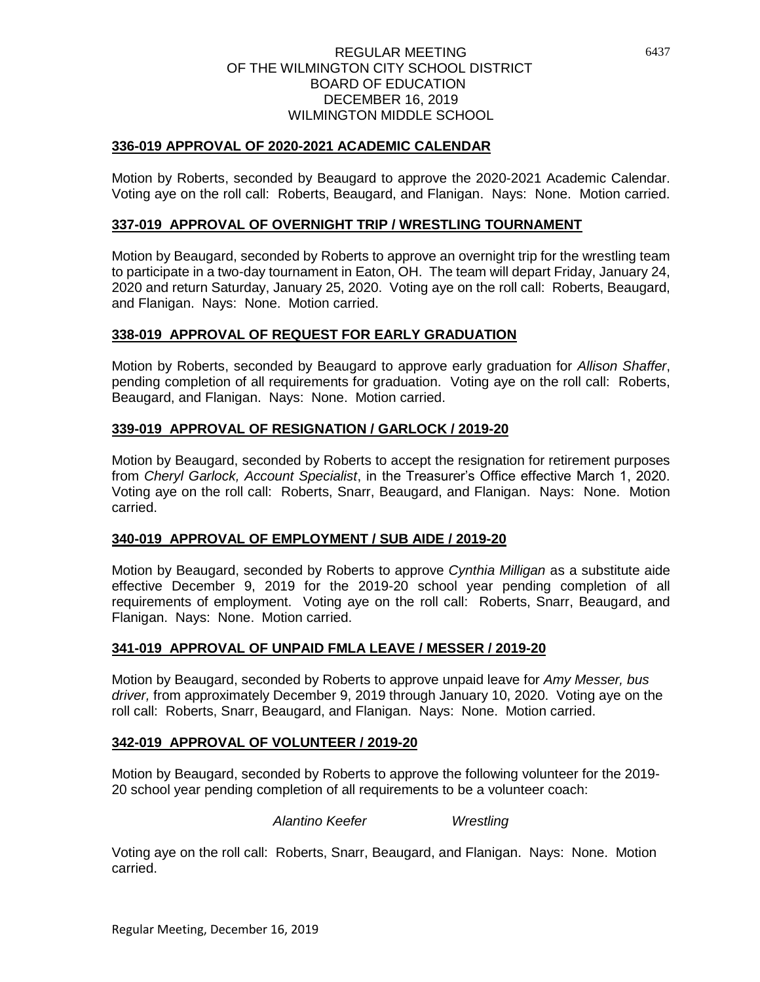### **336-019 APPROVAL OF 2020-2021 ACADEMIC CALENDAR**

Motion by Roberts, seconded by Beaugard to approve the 2020-2021 Academic Calendar. Voting aye on the roll call: Roberts, Beaugard, and Flanigan. Nays: None. Motion carried.

### **337-019 APPROVAL OF OVERNIGHT TRIP / WRESTLING TOURNAMENT**

Motion by Beaugard, seconded by Roberts to approve an overnight trip for the wrestling team to participate in a two-day tournament in Eaton, OH. The team will depart Friday, January 24, 2020 and return Saturday, January 25, 2020. Voting aye on the roll call: Roberts, Beaugard, and Flanigan. Nays: None. Motion carried.

### **338-019 APPROVAL OF REQUEST FOR EARLY GRADUATION**

Motion by Roberts, seconded by Beaugard to approve early graduation for *Allison Shaffer*, pending completion of all requirements for graduation. Voting aye on the roll call: Roberts, Beaugard, and Flanigan. Nays: None. Motion carried.

### **339-019 APPROVAL OF RESIGNATION / GARLOCK / 2019-20**

Motion by Beaugard, seconded by Roberts to accept the resignation for retirement purposes from *Cheryl Garlock, Account Specialist*, in the Treasurer's Office effective March 1, 2020. Voting aye on the roll call: Roberts, Snarr, Beaugard, and Flanigan. Nays: None. Motion carried.

### **340-019 APPROVAL OF EMPLOYMENT / SUB AIDE / 2019-20**

Motion by Beaugard, seconded by Roberts to approve *Cynthia Milligan* as a substitute aide effective December 9, 2019 for the 2019-20 school year pending completion of all requirements of employment. Voting aye on the roll call: Roberts, Snarr, Beaugard, and Flanigan. Nays: None. Motion carried.

### **341-019 APPROVAL OF UNPAID FMLA LEAVE / MESSER / 2019-20**

Motion by Beaugard, seconded by Roberts to approve unpaid leave for *Amy Messer, bus driver,* from approximately December 9, 2019 through January 10, 2020. Voting aye on the roll call: Roberts, Snarr, Beaugard, and Flanigan. Nays: None. Motion carried.

### **342-019 APPROVAL OF VOLUNTEER / 2019-20**

Motion by Beaugard, seconded by Roberts to approve the following volunteer for the 2019- 20 school year pending completion of all requirements to be a volunteer coach:

*Alantino Keefer Wrestling*

Voting aye on the roll call: Roberts, Snarr, Beaugard, and Flanigan. Nays: None. Motion carried.